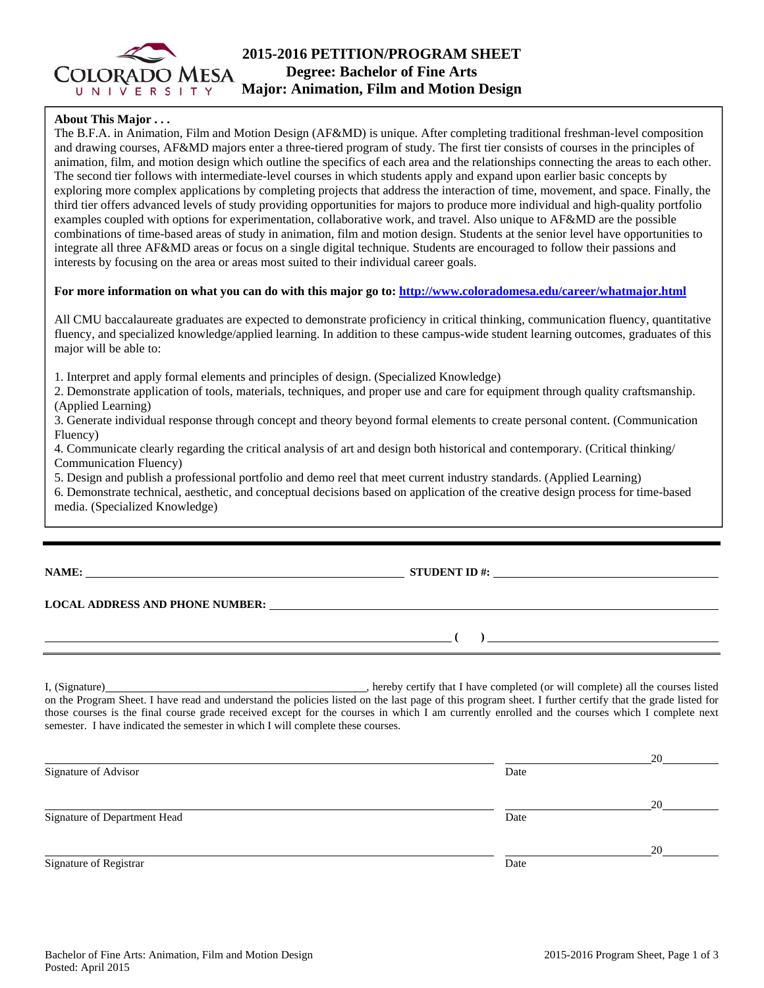

# **2015-2016 PETITION/PROGRAM SHEET Degree: Bachelor of Fine Arts Major: Animation, Film and Motion Design**

## **About This Major . . .**

The B.F.A. in Animation, Film and Motion Design (AF&MD) is unique. After completing traditional freshman-level composition and drawing courses, AF&MD majors enter a three-tiered program of study. The first tier consists of courses in the principles of animation, film, and motion design which outline the specifics of each area and the relationships connecting the areas to each other. The second tier follows with intermediate-level courses in which students apply and expand upon earlier basic concepts by exploring more complex applications by completing projects that address the interaction of time, movement, and space. Finally, the third tier offers advanced levels of study providing opportunities for majors to produce more individual and high-quality portfolio examples coupled with options for experimentation, collaborative work, and travel. Also unique to AF&MD are the possible combinations of time-based areas of study in animation, film and motion design. Students at the senior level have opportunities to integrate all three AF&MD areas or focus on a single digital technique. Students are encouraged to follow their passions and interests by focusing on the area or areas most suited to their individual career goals.

## **For more information on what you can do with this major go to: http://www.coloradomesa.edu/career/whatmajor.html**

All CMU baccalaureate graduates are expected to demonstrate proficiency in critical thinking, communication fluency, quantitative fluency, and specialized knowledge/applied learning. In addition to these campus-wide student learning outcomes, graduates of this major will be able to:

1. Interpret and apply formal elements and principles of design. (Specialized Knowledge)

2. Demonstrate application of tools, materials, techniques, and proper use and care for equipment through quality craftsmanship. (Applied Learning)

3. Generate individual response through concept and theory beyond formal elements to create personal content. (Communication Fluency)

4. Communicate clearly regarding the critical analysis of art and design both historical and contemporary. (Critical thinking/ Communication Fluency)

5. Design and publish a professional portfolio and demo reel that meet current industry standards. (Applied Learning) 6. Demonstrate technical, aesthetic, and conceptual decisions based on application of the creative design process for time-based media. (Specialized Knowledge)

**NAME: STUDENT ID #:**

# **LOCAL ADDRESS AND PHONE NUMBER:**

 **( )** 

I, (Signature) , hereby certify that I have completed (or will complete) all the courses listed on the Program Sheet. I have read and understand the policies listed on the last page of this program sheet. I further certify that the grade listed for those courses is the final course grade received except for the courses in which I am currently enrolled and the courses which I complete next semester. I have indicated the semester in which I will complete these courses.

|                              |      | 20 |
|------------------------------|------|----|
| Signature of Advisor         | Date |    |
|                              |      | 20 |
| Signature of Department Head | Date |    |
|                              |      | 20 |
| Signature of Registrar       | Date |    |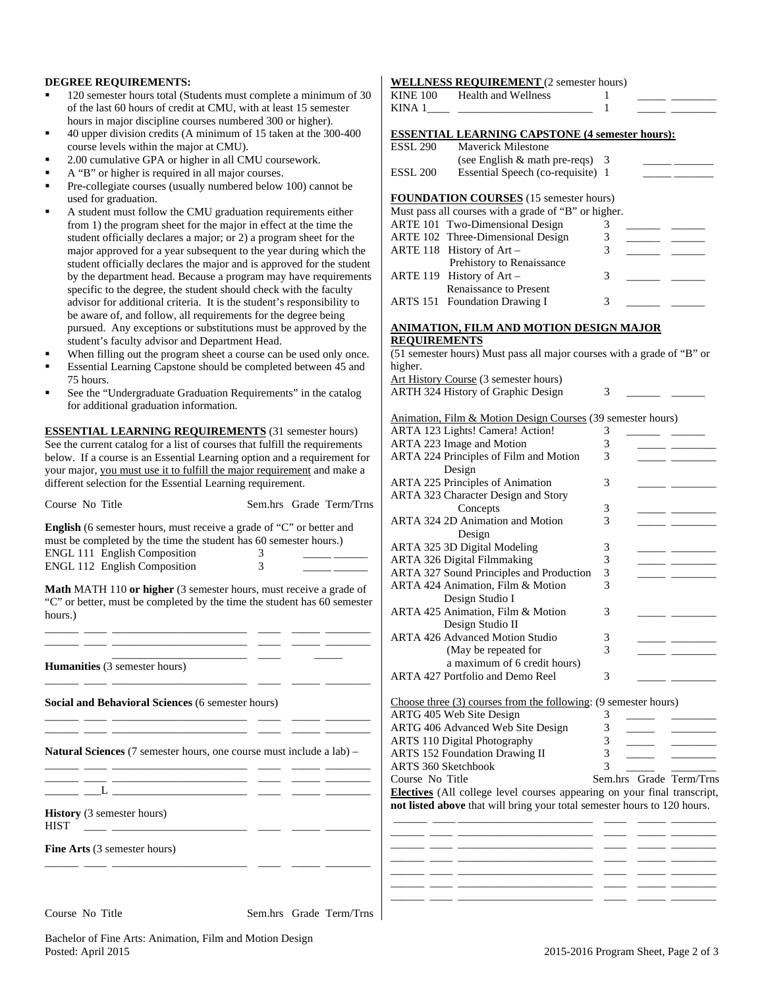## **DEGREE REQUIREMENTS:**

- 120 semester hours total (Students must complete a minimum of 30 of the last 60 hours of credit at CMU, with at least 15 semester hours in major discipline courses numbered 300 or higher).
- 40 upper division credits (A minimum of 15 taken at the 300-400 course levels within the major at CMU).
- 2.00 cumulative GPA or higher in all CMU coursework.
- A "B" or higher is required in all major courses.
- Pre-collegiate courses (usually numbered below 100) cannot be used for graduation.
- A student must follow the CMU graduation requirements either from 1) the program sheet for the major in effect at the time the student officially declares a major; or 2) a program sheet for the major approved for a year subsequent to the year during which the student officially declares the major and is approved for the student by the department head. Because a program may have requirements specific to the degree, the student should check with the faculty advisor for additional criteria. It is the student's responsibility to be aware of, and follow, all requirements for the degree being pursued. Any exceptions or substitutions must be approved by the student's faculty advisor and Department Head.
- When filling out the program sheet a course can be used only once.
- Essential Learning Capstone should be completed between 45 and 75 hours.
- See the "Undergraduate Graduation Requirements" in the catalog for additional graduation information.

**ESSENTIAL LEARNING REQUIREMENTS** (31 semester hours) See the current catalog for a list of courses that fulfill the requirements below. If a course is an Essential Learning option and a requirement for your major, you must use it to fulfill the major requirement and make a different selection for the Essential Learning requirement.

| Course No Title                                                                                                                                                                                                                                  |                                                                                                                                                                               |  |  | ł<br>Sem.hrs Grade Term/Trns |  |  |  |  |  |
|--------------------------------------------------------------------------------------------------------------------------------------------------------------------------------------------------------------------------------------------------|-------------------------------------------------------------------------------------------------------------------------------------------------------------------------------|--|--|------------------------------|--|--|--|--|--|
| ŀ<br><b>English</b> (6 semester hours, must receive a grade of "C" or better and<br>must be completed by the time the student has 60 semester hours.)<br>ł<br>ENGL 111 English Composition<br>3<br>ENGL 112 English Composition<br>$\mathcal{F}$ |                                                                                                                                                                               |  |  |                              |  |  |  |  |  |
| Math MATH 110 or higher (3 semester hours, must receive a grade of<br>"C" or better, must be completed by the time the student has 60 semester<br>hours.)                                                                                        | <u> 1986 - Johann Barn, amerikansk politiker (d. 1986)</u><br>the contract of the contract of the contract of the contract of the contract of the contract of the contract of |  |  | ŀ<br>ŀ<br>ŀ                  |  |  |  |  |  |
| <b>Humanities</b> (3 semester hours)                                                                                                                                                                                                             | <u> 1989 - Johann John Stone, markin fan it ferstjer fan it ferstjer fan it ferstjer fan it ferstjer fan it fers</u>                                                          |  |  | ł                            |  |  |  |  |  |
| Social and Behavioral Sciences (6 semester hours)                                                                                                                                                                                                | the control of the control of the control of the control of the control of                                                                                                    |  |  |                              |  |  |  |  |  |
| <b>Natural Sciences</b> (7 semester hours, one course must include a lab) –                                                                                                                                                                      |                                                                                                                                                                               |  |  | ł                            |  |  |  |  |  |
|                                                                                                                                                                                                                                                  | <u> 1986 - Johann Barn, mars ann an t-Amhair ann an t-</u>                                                                                                                    |  |  |                              |  |  |  |  |  |
| <b>History</b> (3 semester hours)<br><b>HIST</b>                                                                                                                                                                                                 |                                                                                                                                                                               |  |  | ľ                            |  |  |  |  |  |
| <b>Fine Arts</b> (3 semester hours)                                                                                                                                                                                                              |                                                                                                                                                                               |  |  |                              |  |  |  |  |  |
|                                                                                                                                                                                                                                                  |                                                                                                                                                                               |  |  |                              |  |  |  |  |  |

Course No Title Sem.hrs Grade Term/Trns

# **WELLNESS REQUIREMENT** (2 semester hours)

| <b>KINE 100</b> | Health and Wellness |  |  |
|-----------------|---------------------|--|--|
| KINA 1          |                     |  |  |

| <b>ESSENTIAL LEARNING CAPSTONE (4 semester hours):</b> |
|--------------------------------------------------------|
|--------------------------------------------------------|

| <b>ESSL 290</b> | <b>Maverick Milestone</b>                            |   |  |
|-----------------|------------------------------------------------------|---|--|
|                 | (see English $\&$ math pre-reqs) 3                   |   |  |
| ESSL 200        | Essential Speech (co-requisite) 1                    |   |  |
|                 | <b>FOUNDATION COURSES</b> (15 semester hours)        |   |  |
|                 | Must pass all courses with a grade of "B" or higher. |   |  |
|                 | <b>ARTE 101 Two-Dimensional Design</b>               |   |  |
|                 | ARTE 102 Three-Dimensional Design                    | 3 |  |
|                 | ARTE 118 History of $Art -$                          | 3 |  |
|                 | Prehistory to Renaissance                            |   |  |

| r remotor, to reemandoanee           |  |  |
|--------------------------------------|--|--|
| ARTE 119 History of $Art -$          |  |  |
| Renaissance to Present               |  |  |
| <b>ARTS 151 Foundation Drawing I</b> |  |  |

### **ANIMATION, FILM AND MOTION DESIGN MAJOR REQUIREMENTS**

### (51 semester hours) Must pass all major courses with a grade of "B" or higher.

Art History Course (3 semester hours)

| $A$ It Th $S$ tor y Course (3 semester hours) |  |
|-----------------------------------------------|--|
| <b>ARTH 324 History of Graphic Design</b>     |  |

### Animation, Film & Motion Design Courses (39 semester hours)

| ARTA 123 Lights! Camera! Action!                                               | 3                        |                         |
|--------------------------------------------------------------------------------|--------------------------|-------------------------|
| ARTA 223 Image and Motion                                                      | 3                        |                         |
| ARTA 224 Principles of Film and Motion                                         | 3                        |                         |
| Design                                                                         |                          |                         |
| ARTA 225 Principles of Animation                                               | 3                        |                         |
| ARTA 323 Character Design and Story                                            |                          |                         |
| Concepts                                                                       | 3                        |                         |
| ARTA 324 2D Animation and Motion                                               | $\overline{\mathcal{E}}$ |                         |
| Design                                                                         |                          |                         |
| ARTA 325 3D Digital Modeling                                                   | 3                        |                         |
| <b>ARTA 326 Digital Filmmaking</b>                                             | 3                        |                         |
| ARTA 327 Sound Principles and Production                                       | 3                        |                         |
| ARTA 424 Animation, Film & Motion                                              | 3                        |                         |
| Design Studio I                                                                |                          |                         |
| ARTA 425 Animation, Film & Motion                                              | 3                        |                         |
| Design Studio II                                                               |                          |                         |
| <b>ARTA 426 Advanced Motion Studio</b>                                         | 3                        |                         |
| (May be repeated for                                                           | 3                        |                         |
| a maximum of 6 credit hours)                                                   |                          |                         |
| ARTA 427 Portfolio and Demo Reel                                               | 3                        |                         |
|                                                                                |                          |                         |
| Choose three $(3)$ courses from the following: $(9)$ semester hours)           |                          |                         |
| ARTG 405 Web Site Design                                                       | 3                        |                         |
| ARTG 406 Advanced Web Site Design                                              | 3                        |                         |
| ARTS 110 Digital Photography                                                   | 3                        |                         |
| <b>ARTS 152 Foundation Drawing II</b>                                          | 3                        |                         |
| ARTS 360 Sketchbook                                                            | $\mathbf{3}$             |                         |
| Course No Title                                                                |                          | Sem.hrs Grade Term/Trns |
| <b>Electives</b> (All college level courses appearing on your final transcript |                          |                         |

**<u>s</u>** (All college level courses appearing on your final transcript, **not listed above** that will bring your total semester hours to 120 hours.